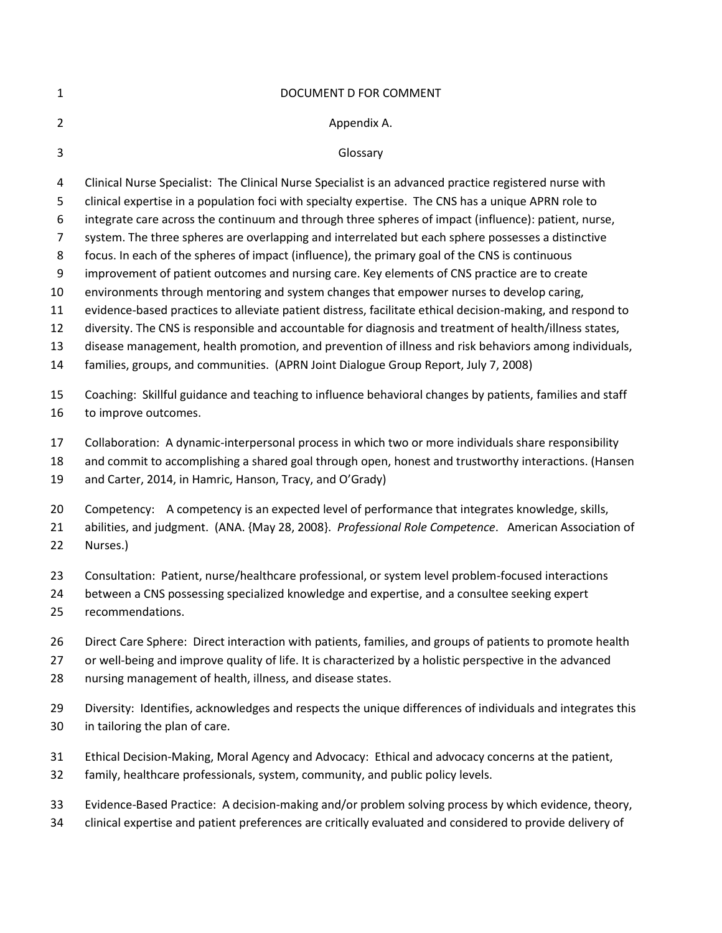| 1              | DOCUMENT D FOR COMMENT                                                                                                                                                                                                |
|----------------|-----------------------------------------------------------------------------------------------------------------------------------------------------------------------------------------------------------------------|
| $\overline{2}$ | Appendix A.                                                                                                                                                                                                           |
| 3              | Glossary                                                                                                                                                                                                              |
| 4              | Clinical Nurse Specialist: The Clinical Nurse Specialist is an advanced practice registered nurse with                                                                                                                |
| 5              | clinical expertise in a population foci with specialty expertise. The CNS has a unique APRN role to                                                                                                                   |
| 6              | integrate care across the continuum and through three spheres of impact (influence): patient, nurse,                                                                                                                  |
| $\overline{7}$ | system. The three spheres are overlapping and interrelated but each sphere possesses a distinctive                                                                                                                    |
| 8              | focus. In each of the spheres of impact (influence), the primary goal of the CNS is continuous                                                                                                                        |
| 9              | improvement of patient outcomes and nursing care. Key elements of CNS practice are to create                                                                                                                          |
| 10             | environments through mentoring and system changes that empower nurses to develop caring,                                                                                                                              |
| 11<br>12       | evidence-based practices to alleviate patient distress, facilitate ethical decision-making, and respond to<br>diversity. The CNS is responsible and accountable for diagnosis and treatment of health/illness states, |
| 13             | disease management, health promotion, and prevention of illness and risk behaviors among individuals,                                                                                                                 |
| 14             | families, groups, and communities. (APRN Joint Dialogue Group Report, July 7, 2008)                                                                                                                                   |
| 15             | Coaching: Skillful guidance and teaching to influence behavioral changes by patients, families and staff                                                                                                              |
| 16             | to improve outcomes.                                                                                                                                                                                                  |
| 17             | Collaboration: A dynamic-interpersonal process in which two or more individuals share responsibility                                                                                                                  |
| 18             | and commit to accomplishing a shared goal through open, honest and trustworthy interactions. (Hansen                                                                                                                  |
| 19             | and Carter, 2014, in Hamric, Hanson, Tracy, and O'Grady)                                                                                                                                                              |
| 20             | Competency: A competency is an expected level of performance that integrates knowledge, skills,                                                                                                                       |
| 21             | abilities, and judgment. (ANA. {May 28, 2008}. Professional Role Competence. American Association of                                                                                                                  |
| 22             | Nurses.)                                                                                                                                                                                                              |
| 23             | Consultation: Patient, nurse/healthcare professional, or system level problem-focused interactions                                                                                                                    |
| 24             | between a CNS possessing specialized knowledge and expertise, and a consultee seeking expert                                                                                                                          |
| 25             | recommendations.                                                                                                                                                                                                      |
| 26             | Direct Care Sphere: Direct interaction with patients, families, and groups of patients to promote health                                                                                                              |
| 27             | or well-being and improve quality of life. It is characterized by a holistic perspective in the advanced                                                                                                              |
| 28             | nursing management of health, illness, and disease states.                                                                                                                                                            |
| 29             | Diversity: Identifies, acknowledges and respects the unique differences of individuals and integrates this                                                                                                            |
| 30             | in tailoring the plan of care.                                                                                                                                                                                        |
| 31             | Ethical Decision-Making, Moral Agency and Advocacy: Ethical and advocacy concerns at the patient,                                                                                                                     |
| 32             | family, healthcare professionals, system, community, and public policy levels.                                                                                                                                        |
| 33             | Evidence-Based Practice: A decision-making and/or problem solving process by which evidence, theory,                                                                                                                  |
| 34             | clinical expertise and patient preferences are critically evaluated and considered to provide delivery of                                                                                                             |